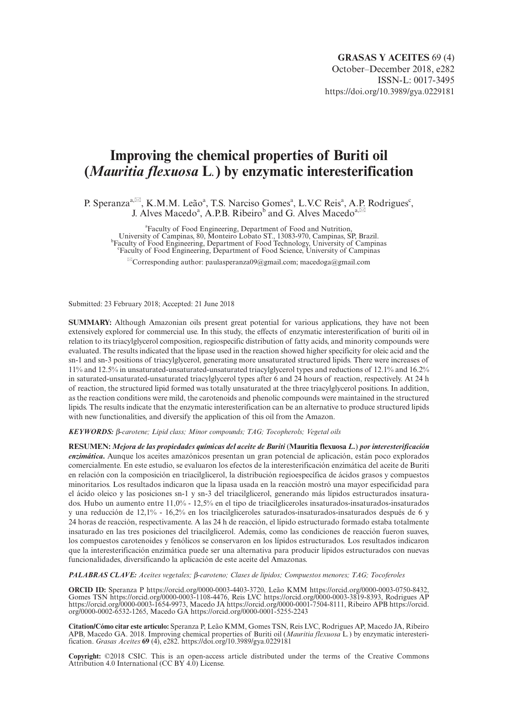# **Improving the chemical properties of Buriti oil (***Mauritia flexuosa* **L***.***) by enzymatic interesterification**

P. Speranza<sup>a, $\boxtimes$ </sup>, K.M.M. Leão<sup>a</sup>, T.S. Narciso Gomes<sup>a</sup>, L.V.C Reis<sup>a</sup>, A.P. Rodrigues<sup>c</sup>, J. Alves Macedo<sup>a</sup>, A.P.B. Ribeiro<sup>b</sup> and G. Alves Macedo<sup>a, $\boxtimes$ </sup>

a Faculty of Food Engineering, Department of Food and Nutrition, University of Campinas, 80, Monteiro Lobato ST., 13083-970, Campinas, SP, Brazil. <sup>b</sup> Faculty of Food Engineering, Department of Food Technology, University of Campinas<br>
<sup>C</sup>Faculty of Food Engineering, Department of Food Science, University of Campinas

 $^{\boxtimes}$ Corresponding author: [paulasperanza09@gmail.com;](mailto:paulasperanza09@gmail.com) [macedoga@gmail.com](mailto:macedoga@gmail.com)

Submitted: 23 February 2018; Accepted: 21 June 2018

**SUMMARY:** Although Amazonian oils present great potential for various applications, they have not been extensively explored for commercial use. In this study, the effects of enzymatic interesterification of buriti oil in relation to its triacylglycerol composition, regiospecific distribution of fatty acids, and minority compounds were evaluated. The results indicated that the lipase used in the reaction showed higher specificity for oleic acid and the sn-1 and sn-3 positions of triacylglycerol, generating more unsaturated structured lipids. There were increases of 11% and 12.5% in unsaturated-unsaturated-unsaturated triacylglycerol types and reductions of 12.1% and 16.2% in saturated-unsaturated-unsaturated triacylglycerol types after 6 and 24 hours of reaction, respectively. At 24 h of reaction, the structured lipid formed was totally unsaturated at the three triacylglycerol positions. In addition, as the reaction conditions were mild, the carotenoids and phenolic compounds were maintained in the structured lipids. The results indicate that the enzymatic interesterification can be an alternative to produce structured lipids with new functionalities, and diversify the application of this oil from the Amazon.

*KEYWORDS:* β*-carotene; Lipid class; Minor compounds; TAG; Tocopherols; Vegetal oils*

**RESUMEN:** *Mejora de las propiedades químicas del aceite de Buriti* (**Mauritia flexuosa** *L.*) *por interesterificación enzimática***.** Aunque los aceites amazónicos presentan un gran potencial de aplicación, están poco explorados comercialmente. En este estudio, se evaluaron los efectos de la interesterificación enzimática del aceite de Buriti en relación con la composición en triacilglicerol, la distribución regioespecífica de ácidos grasos y compuestos minoritarios. Los resultados indicaron que la lipasa usada en la reacción mostró una mayor especificidad para el ácido oleico y las posiciones sn-1 y sn-3 del triacilglicerol, generando más lípidos estructurados insaturados. Hubo un aumento entre 11,0% - 12,5% en el tipo de triacilgliceroles insaturados-insaturados-insaturados y una reducción de 12,1% - 16,2% en los triacilgliceroles saturados-insaturados-insaturados después de 6 y 24 horas de reacción, respectivamente. A las 24 h de reacción, el lípido estructurado formado estaba totalmente insaturado en las tres posiciones del triacilglicerol. Además, como las condiciones de reacción fueron suaves, los compuestos carotenoides y fenólicos se conservaron en los lípidos estructurados. Los resultados indicaron que la interesterificación enzimática puede ser una alternativa para producir lípidos estructurados con nuevas funcionalidades, diversificando la aplicación de este aceite del Amazonas.

*PALABRAS CLAVE: Aceites vegetales;* β*-caroteno; Clases de lípidos; Compuestos menores; TAG; Tocoferoles* 

**ORCID ID:** Speranza P <https://orcid.org/0000-0003-4403-3720>, Leão KMM [https://orcid.org/0000-0003-0750-8432,](https://orcid.org/0000-0003-0750-8432) Gomes TSN [https://orcid.org/0000-0003-1108-4476,](https://orcid.org/0000-0003-1108-4476) Reis LVC [https://orcid.org/0000-0003-3819-8393,](https://orcid.org/0000-0003-3819-8393) Rodrigues AP <https://orcid.org/0000-0003-1654-9973>, Macedo JA [https://orcid.org/0000-0001-7504-8111,](https://orcid.org/0000-0001-7504-8111) Ribeiro APB [https://orcid.](https://orcid.org/0000-0002-6532-1265) [org/0000-0002-6532-1265,](https://orcid.org/0000-0002-6532-1265) Macedo GA <https://orcid.org/0000-0001-5255-2243>

**Citation/Cómo citar este artículo:** Speranza P, Leão KMM, Gomes TSN, Reis LVC, Rodrigues AP, Macedo JA, Ribeiro APB, Macedo GA. 2018. Improving chemical properties of Buriti oil (*Mauritia flexuosa* L*.*) by enzymatic interesterification. *Grasas Aceites* **69** (4), e282. <https://doi.org/10.3989/gya.0229181>

**Copyright:** ©2018 CSIC. This is an open-access article distributed under the terms of the Creative Commons Attribution 4.0 International (CC BY 4.0) License.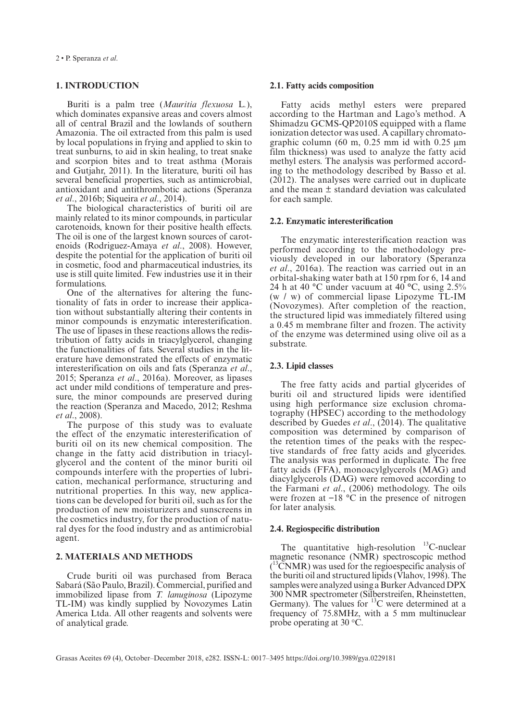# **1. INTRODUCTION**

Buriti is a palm tree (*Mauritia flexuosa* L*.*), which dominates expansive areas and covers almost all of central Brazil and the lowlands of southern Amazonia. The oil extracted from this palm is used by local populations in frying and applied to skin to treat sunburns, to aid in skin healing, to treat snake and scorpion bites and to treat asthma (Morais and Gutjahr, 2011). In the literature, buriti oil has several beneficial properties, such as antimicrobial, antioxidant and antithrombotic actions (Speranza *et al*., 2016b; Siqueira *et al*., 2014).

The biological characteristics of buriti oil are mainly related to its minor compounds, in particular carotenoids, known for their positive health effects. The oil is one of the largest known sources of carotenoids (Rodriguez-Amaya *et al*., 2008). However, despite the potential for the application of buriti oil in cosmetic, food and pharmaceutical industries, its use is still quite limited. Few industries use it in their formulations.

One of the alternatives for altering the functionality of fats in order to increase their application without substantially altering their contents in minor compounds is enzymatic interesterification. The use of lipases in these reactions allows the redistribution of fatty acids in triacylglycerol, changing the functionalities of fats. Several studies in the literature have demonstrated the effects of enzymatic interesterification on oils and fats (Speranza *et al*., 2015; Speranza *et al*., 2016a). Moreover, as lipases act under mild conditions of temperature and pressure, the minor compounds are preserved during the reaction (Speranza and Macedo, 2012; Reshma *et al*., 2008).

The purpose of this study was to evaluate the effect of the enzymatic interesterification of buriti oil on its new chemical composition. The change in the fatty acid distribution in triacylglycerol and the content of the minor buriti oil compounds interfere with the properties of lubrication, mechanical performance, structuring and nutritional properties. In this way, new applications can be developed for buriti oil, such as for the production of new moisturizers and sunscreens in the cosmetics industry, for the production of natural dyes for the food industry and as antimicrobial agent.

# **2. MATERIALS AND METHODS**

Crude buriti oil was purchased from Beraca Sabará (São Paulo, Brazil). Commercial, purified and immobilized lipase from *T. lanuginosa* (Lipozyme TL-IM) was kindly supplied by Novozymes Latin America Ltda. All other reagents and solvents were of analytical grade.

#### **2.1. Fatty acids composition**

Fatty acids methyl esters were prepared according to the Hartman and Lago's method. A Shimadzu GCMS-QP2010S equipped with a flame ionization detector was used. A capillary chromatographic column (60 m,  $0.25$  mm id with  $0.25$  µm film thickness) was used to analyze the fatty acid methyl esters. The analysis was performed according to the methodology described by Basso et al. (2012). The analyses were carried out in duplicate and the mean ± standard deviation was calculated for each sample.

## **2.2. Enzymatic interesterification**

The enzymatic interesterification reaction was performed according to the methodology previously developed in our laboratory (Speranza *et al*., 2016a). The reaction was carried out in an orbital-shaking water bath at 150 rpm for 6, 14 and 24 h at 40 °C under vacuum at 40 **°**C, using 2.5% (w / w) of commercial lipase Lipozyme TL-IM (Novozymes). After completion of the reaction, the structured lipid was immediately filtered using a 0.45 m membrane filter and frozen. The activity of the enzyme was determined using olive oil as a substrate.

## **2.3. Lipid classes**

The free fatty acids and partial glycerides of buriti oil and structured lipids were identified using high performance size exclusion chromatography (HPSEC) according to the methodology described by Guedes *et al*., (2014). The qualitative composition was determined by comparison of the retention times of the peaks with the respective standards of free fatty acids and glycerides. The analysis was performed in duplicate. The free fatty acids (FFA), monoacylglycerols (MAG) and diacylglycerols (DAG) were removed according to the Farmani *et al*., (2006) methodology. The oils were frozen at  $-18\degree$ C in the presence of nitrogen for later analysis.

# **2.4. Regiospecific distribution**

The quantitative high-resolution  $^{13}$ C-nuclear magnetic resonance (NMR) spectroscopic method ( 13CNMR) was used for the regioespecific analysis of the buriti oil and structured lipids (Vlahov, 1998). The samples were analyzed using a Burker Advanced DPX 300 NMR spectrometer (Silberstreifen, Rheinstetten, Germany). The values for  $^{13}$ C were determined at a frequency of 75.8MHz, with a 5 mm multinuclear probe operating at 30 °C.

Grasas Aceites 69 (4), October–December 2018, e282. ISSN-L: 0017–3495 <https://doi.org/10.3989/gya.0229181>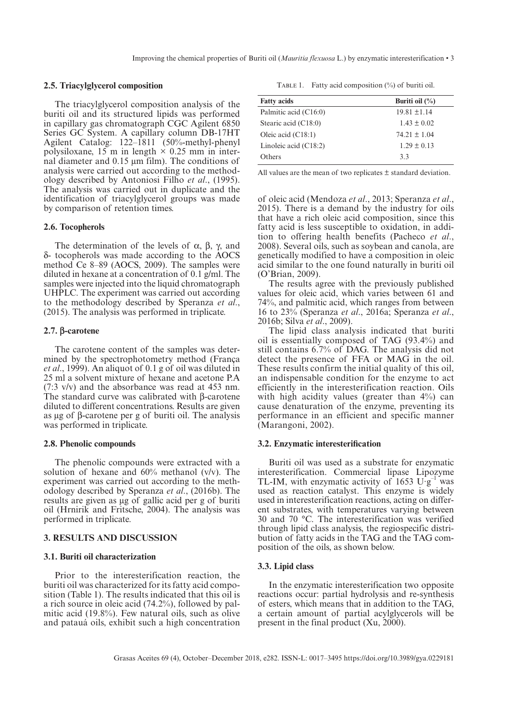#### **2.5. Triacylglycerol composition**

The triacylglycerol composition analysis of the buriti oil and its structured lipids was performed in capillary gas chromatograph CGC Agilent 6850 Series GC System. A capillary column DB-17HT Agilent Catalog: 122–1811 (50%-methyl-phenyl polysiloxane, 15 m in length  $\times$  0.25 mm in internal diameter and 0.15 µm film). The conditions of analysis were carried out according to the methodology described by Antoniosi Filho *et al*., (1995). The analysis was carried out in duplicate and the identification of triacylglycerol groups was made by comparison of retention times.

## **2.6. Tocopherols**

The determination of the levels of  $\alpha$ ,  $\beta$ ,  $\gamma$ , and δ- tocopherols was made according to the AOCS method Ce 8–89 (AOCS, 2009). The samples were diluted in hexane at a concentration of 0.1 g/ml. The samples were injected into the liquid chromatograph UHPLC. The experiment was carried out according to the methodology described by Speranza *et al*., (2015). The analysis was performed in triplicate.

## **2.7. a-carotene**

The carotene content of the samples was determined by the spectrophotometry method (França *et al*., 1999). An aliquot of 0.1 g of oil was diluted in 25 ml a solvent mixture of hexane and acetone P.A (7:3 v/v) and the absorbance was read at 453 nm. The standard curve was calibrated with β-carotene diluted to different concentrations. Results are given as µg of β-carotene per g of buriti oil. The analysis was performed in triplicate.

#### **2.8. Phenolic compounds**

The phenolic compounds were extracted with a solution of hexane and 60% methanol (v/v). The experiment was carried out according to the methodology described by Speranza *et al*., (2016b). The results are given as μg of gallic acid per g of buriti oil (Hrnirik and Fritsche, 2004). The analysis was performed in triplicate.

## **3. RESULTS AND DISCUSSION**

#### **3.1. Buriti oil characterization**

Prior to the interesterification reaction, the buriti oil was characterized for its fatty acid composition (Table 1). The results indicated that this oil is a rich source in oleic acid (74.2%), followed by palmitic acid (19.8%). Few natural oils, such as olive and patauá oils, exhibit such a high concentration

TABLE 1. Fatty acid composition (%) of buriti oil.

| <b>Fatty acids</b>      | Buriti oil $(\%)$ |
|-------------------------|-------------------|
| Palmitic acid (C16:0)   | $19.81 \pm 1.14$  |
| Stearic acid (C18:0)    | $1.43 \pm 0.02$   |
| Oleic acid $(C18:1)$    | $74.21 \pm 1.04$  |
| Linoleic acid $(C18:2)$ | $1.29 \pm 0.13$   |
| Others                  | 3.3               |

All values are the mean of two replicates  $\pm$  standard deviation.

of oleic acid (Mendoza *et al*., 2013; Speranza *et al*., 2015). There is a demand by the industry for oils that have a rich oleic acid composition, since this fatty acid is less susceptible to oxidation, in addition to offering health benefits (Pacheco *et al*., 2008). Several oils, such as soybean and canola, are genetically modified to have a composition in oleic acid similar to the one found naturally in buriti oil (O'Brian, 2009).

The results agree with the previously published values for oleic acid, which varies between 61 and 74%, and palmitic acid, which ranges from between 16 to 23% (Speranza *et al*., 2016a; Speranza *et al*., 2016b; Silva *et al*., 2009).

The lipid class analysis indicated that buriti oil is essentially composed of TAG (93.4%) and still contains 6.7% of DAG. The analysis did not detect the presence of FFA or MAG in the oil. These results confirm the initial quality of this oil, an indispensable condition for the enzyme to act efficiently in the interesterification reaction. Oils with high acidity values (greater than 4%) can cause denaturation of the enzyme, preventing its performance in an efficient and specific manner (Marangoni, 2002).

## **3.2. Enzymatic interesterification**

Buriti oil was used as a substrate for enzymatic interesterification. Commercial lipase Lipozyme TL-IM, with enzymatic activity of  $1653 \text{ U} \text{ g}^{-1}$  was used as reaction catalyst. This enzyme is widely used in interesterification reactions, acting on different substrates, with temperatures varying between 30 and 70 °C. The interesterification was verified through lipid class analysis, the regiospecific distribution of fatty acids in the TAG and the TAG composition of the oils, as shown below.

## **3.3. Lipid class**

In the enzymatic interesterification two opposite reactions occur: partial hydrolysis and re-synthesis of esters, which means that in addition to the TAG, a certain amount of partial acylglycerols will be present in the final product (Xu, 2000).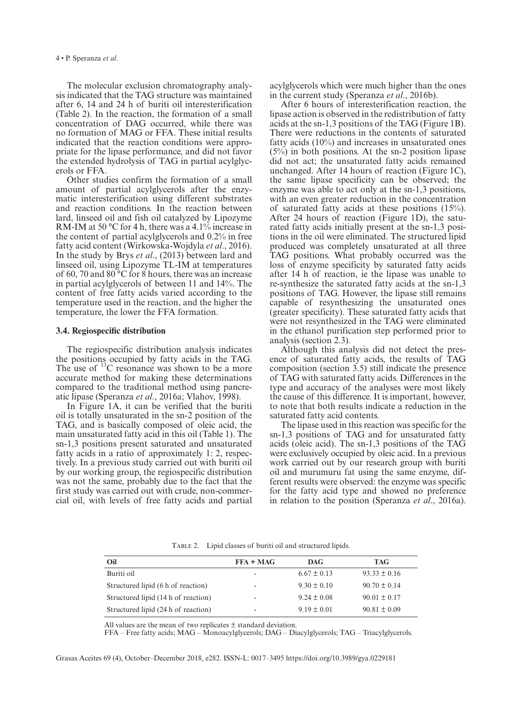The molecular exclusion chromatography analysis indicated that the TAG structure was maintained after 6, 14 and 24 h of buriti oil interesterification (Table 2). In the reaction, the formation of a small concentration of DAG occurred, while there was no formation of MAG or FFA. These initial results indicated that the reaction conditions were appropriate for the lipase performance, and did not favor the extended hydrolysis of TAG in partial acylglycerols or FFA.

Other studies confirm the formation of a small amount of partial acylglycerols after the enzymatic interesterification using different substrates and reaction conditions. In the reaction between lard, linseed oil and fish oil catalyzed by Lipozyme RM-IM at 50 °C for 4 h, there was a 4.1% increase in the content of partial acylglycerols and 0.2% in free fatty acid content (Wirkowska-Wojdyla *et al*., 2016). In the study by Brys *et al*., (2013) between lard and linseed oil, using Lipozyme TL-IM at temperatures of 60, 70 and 80 °C for 8 hours, there was an increase in partial acylglycerols of between 11 and 14%. The content of free fatty acids varied according to the temperature used in the reaction, and the higher the temperature, the lower the FFA formation.

## **3.4. Regiospecific distribution**

The regiospecific distribution analysis indicates the positions occupied by fatty acids in the TAG. The use of <sup>13</sup>C resonance was shown to be a more accurate method for making these determinations compared to the traditional method using pancreatic lipase (Speranza *et al*., 2016a; Vlahov, 1998).

In Figure 1A, it can be verified that the buriti oil is totally unsaturated in the sn-2 position of the TAG, and is basically composed of oleic acid, the main unsaturated fatty acid in this oil (Table 1). The sn-1,3 positions present saturated and unsaturated fatty acids in a ratio of approximately 1: 2, respectively. In a previous study carried out with buriti oil by our working group, the regiospecific distribution was not the same, probably due to the fact that the first study was carried out with crude, non-commercial oil, with levels of free fatty acids and partial

acylglycerols which were much higher than the ones in the current study (Speranza *et al*., 2016b).

After 6 hours of interesterification reaction, the lipase action is observed in the redistribution of fatty acids at the sn-1,3 positions of the TAG (Figure 1B). There were reductions in the contents of saturated fatty acids (10%) and increases in unsaturated ones (5%) in both positions. At the sn-2 position lipase did not act; the unsaturated fatty acids remained unchanged. After 14 hours of reaction (Figure 1C), the same lipase specificity can be observed; the enzyme was able to act only at the sn-1,3 positions, with an even greater reduction in the concentration of saturated fatty acids at these positions (15%). After 24 hours of reaction (Figure 1D), the saturated fatty acids initially present at the sn-1,3 positions in the oil were eliminated. The structured lipid produced was completely unsaturated at all three TAG positions. What probably occurred was the loss of enzyme specificity by saturated fatty acids after 14 h of reaction, ie the lipase was unable to re-synthesize the saturated fatty acids at the sn-1,3 positions of TAG. However, the lipase still remains capable of resynthesizing the unsaturated ones (greater specificity). These saturated fatty acids that were not resynthesized in the TAG were eliminated in the ethanol purification step performed prior to analysis (section 2.3).

Although this analysis did not detect the presence of saturated fatty acids, the results of TAG composition (section 3.5) still indicate the presence of TAG with saturated fatty acids. Differences in the type and accuracy of the analyses were most likely the cause of this difference. It is important, however, to note that both results indicate a reduction in the saturated fatty acid contents.

The lipase used in this reaction was specific for the sn-1,3 positions of TAG and for unsaturated fatty acids (oleic acid). The sn-1,3 positions of the TAG were exclusively occupied by oleic acid. In a previous work carried out by our research group with buriti oil and murumuru fat using the same enzyme, different results were observed: the enzyme was specific for the fatty acid type and showed no preference in relation to the position (Speranza *et al*., 2016a).

| Oil                                 | $FFA + MAG$              | DAG.            | <b>TAG</b>       |
|-------------------------------------|--------------------------|-----------------|------------------|
| Buriti oil                          | -                        | $6.67 \pm 0.13$ | $93.33 \pm 0.16$ |
| Structured lipid (6 h of reaction)  | $\overline{\phantom{0}}$ | $9.30 \pm 0.10$ | $90.70 \pm 0.14$ |
| Structured lipid (14 h of reaction) | $\overline{\phantom{0}}$ | $9.24 \pm 0.08$ | $90.01 \pm 0.17$ |
| Structured lipid (24 h of reaction) | -                        | $9.19 \pm 0.01$ | $90.81 \pm 0.09$ |

Table 2. Lipid classes of buriti oil and structured lipids.

All values are the mean of two replicates  $\pm$  standard deviation.

FFA – Free fatty acids; MAG – Monoacylglycerols; DAG – Diacylglycerols; TAG – Triacylglycerols.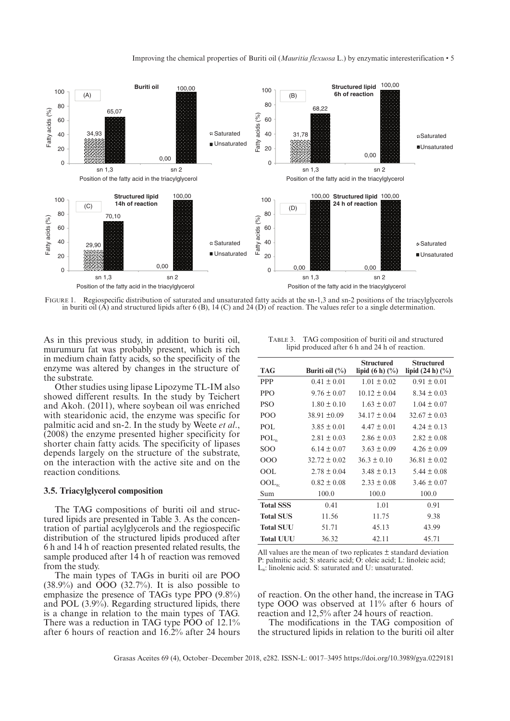

FIGURE 1. Regiospecific distribution of saturated and unsaturated fatty acids at the sn-1,3 and sn-2 positions of the triacylglycerols in buriti oil  $(\hat{A})$  and structured lipids after 6 (B), 14 (C) and 24 (D) of reaction. The values refer to a single determination.

As in this previous study, in addition to buriti oil, murumuru fat was probably present, which is rich in medium chain fatty acids, so the specificity of the enzyme was altered by changes in the structure of the substrate.

Other studies using lipase Lipozyme TL-IM also showed different results. In the study by Teichert and Akoh. (2011), where soybean oil was enriched with stearidonic acid, the enzyme was specific for palmitic acid and sn-2. In the study by Weete *et al*., (2008) the enzyme presented higher specificity for shorter chain fatty acids. The specificity of lipases depends largely on the structure of the substrate, on the interaction with the active site and on the reaction conditions.

## **3.5. Triacylglycerol composition**

The TAG compositions of buriti oil and structured lipids are presented in Table 3. As the concentration of partial acylglycerols and the regiospecific distribution of the structured lipids produced after 6 h and 14 h of reaction presented related results, the sample produced after 14 h of reaction was removed from the study.

The main types of TAGs in buriti oil are POO  $(38.9\%)$  and  $\overrightarrow{OO}$   $(32.7\%)$ . It is also possible to emphasize the presence of TAGs type PPO (9.8%) and POL (3.9%). Regarding structured lipids, there is a change in relation to the main types of TAG. There was a reduction in TAG type POO of 12.1% after 6 hours of reaction and 16.2% after 24 hours

Table 3. TAG composition of buriti oil and structured lipid produced after 6 h and 24 h of reaction.

| TAG                | Buriti oil $(\% )$ | <b>Structured</b><br>lipid $(6 h)$ $(\frac{9}{6})$ | <b>Structured</b><br>lipid $(24 h)$ $(\%)$ |
|--------------------|--------------------|----------------------------------------------------|--------------------------------------------|
| <b>PPP</b>         | $0.41 \pm 0.01$    | $1.01 \pm 0.02$                                    | $0.91 \pm 0.01$                            |
| <b>PPO</b>         | $9.76 \pm 0.07$    | $10.12 \pm 0.04$                                   | $8.34 \pm 0.03$                            |
| <b>PSO</b>         | $1.80 \pm 0.10$    | $1.63 \pm 0.07$                                    | $1.04 \pm 0.07$                            |
| PO <sub>O</sub>    | $38.91 \pm 0.09$   | $34.17 \pm 0.04$                                   | $32.67 \pm 0.03$                           |
| POL                | $3.85 \pm 0.01$    | $4.47 \pm 0.01$                                    | $4.24 \pm 0.13$                            |
| POL <sub>n</sub>   | $2.81 \pm 0.03$    | $2.86 \pm 0.03$                                    | $2.82 \pm 0.08$                            |
| SOO                | $6.14 \pm 0.07$    | $3.63 \pm 0.09$                                    | $4.26 \pm 0.09$                            |
| 000                | $32.72 \pm 0.02$   | $36.3 \pm 0.10$                                    | $36.81 \pm 0.02$                           |
| OOL                | $2.78 \pm 0.04$    | $3.48 \pm 0.13$                                    | $5.44 \pm 0.08$                            |
| $\mathrm{OOL}_{n}$ | $0.82 \pm 0.08$    | $2.33 \pm 0.08$                                    | $3.46 \pm 0.07$                            |
| Sum                | 100.0              | 100.0                                              | 100.0                                      |
| <b>Total SSS</b>   | 0.41               | 1.01                                               | 0.91                                       |
| <b>Total SUS</b>   | 11.56              | 11.75                                              | 9.38                                       |
| <b>Total SUU</b>   | 51.71              | 45.13                                              | 43.99                                      |
| <b>Total UUU</b>   | 36.32              | 42.11                                              | 45.71                                      |
|                    |                    |                                                    |                                            |

All values are the mean of two replicates  $\pm$  standard deviation P: palmitic acid; S: stearic acid; O: oleic acid; L: linoleic acid; Ln: linolenic acid. S: saturated and U: unsaturated.

of reaction. On the other hand, the increase in TAG type OOO was observed at 11% after 6 hours of reaction and 12,5% after 24 hours of reaction.

The modifications in the TAG composition of the structured lipids in relation to the buriti oil alter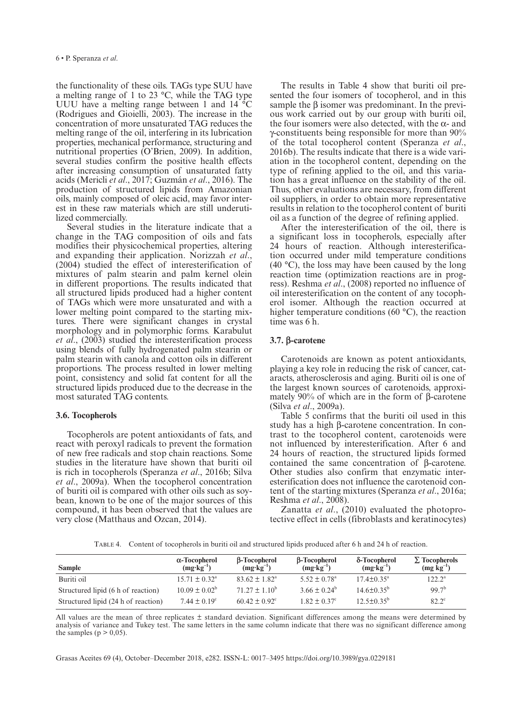the functionality of these oils. TAGs type SUU have a melting range of 1 to 23 °C, while the TAG type UUU have a melting range between 1 and 14 °C (Rodrigues and Gioielli, 2003). The increase in the concentration of more unsaturated TAG reduces the melting range of the oil, interfering in its lubrication properties, mechanical performance, structuring and nutritional properties (O'Brien, 2009). In addition, several studies confirm the positive health effects after increasing consumption of unsaturated fatty acids (Mericli *et al*., 2017; Guzmán *et al*., 2016). The production of structured lipids from Amazonian oils, mainly composed of oleic acid, may favor interest in these raw materials which are still underutilized commercially.

Several studies in the literature indicate that a change in the TAG composition of oils and fats modifies their physicochemical properties, altering and expanding their application. Norizzah *et al*., (2004) studied the effect of interesterification of mixtures of palm stearin and palm kernel olein in different proportions. The results indicated that all structured lipids produced had a higher content of TAGs which were more unsaturated and with a lower melting point compared to the starting mixtures. There were significant changes in crystal morphology and in polymorphic forms. Karabulut *et al*., (2003) studied the interesterification process using blends of fully hydrogenated palm stearin or palm stearin with canola and cotton oils in different proportions. The process resulted in lower melting point, consistency and solid fat content for all the structured lipids produced due to the decrease in the most saturated TAG contents.

# **3.6. Tocopherols**

Tocopherols are potent antioxidants of fats, and react with peroxyl radicals to prevent the formation of new free radicals and stop chain reactions. Some studies in the literature have shown that buriti oil is rich in tocopherols (Speranza *et al*., 2016b; Silva *et al*., 2009a). When the tocopherol concentration of buriti oil is compared with other oils such as soybean, known to be one of the major sources of this compound, it has been observed that the values are very close (Matthaus and Ozcan, 2014).

The results in Table 4 show that buriti oil presented the four isomers of tocopherol, and in this sample the  $\beta$  isomer was predominant. In the previous work carried out by our group with buriti oil, the four isomers were also detected, with the α- and γ-constituents being responsible for more than 90% of the total tocopherol content (Speranza *et al*., 2016b). The results indicate that there is a wide variation in the tocopherol content, depending on the type of refining applied to the oil, and this variation has a great influence on the stability of the oil. Thus, other evaluations are necessary, from different oil suppliers, in order to obtain more representative results in relation to the tocopherol content of buriti oil as a function of the degree of refining applied.

After the interesterification of the oil, there is a significant loss in tocopherols, especially after 24 hours of reaction. Although interesterification occurred under mild temperature conditions (40 °C), the loss may have been caused by the long reaction time (optimization reactions are in progress). Reshma *et al*., (2008) reported no influence of oil interesterification on the content of any tocopherol isomer. Although the reaction occurred at higher temperature conditions (60 °C), the reaction time was 6 h.

## **3.7. a-carotene**

Carotenoids are known as potent antioxidants, playing a key role in reducing the risk of cancer, cataracts, atherosclerosis and aging. Buriti oil is one of the largest known sources of carotenoids, approximately 90% of which are in the form of β-carotene (Silva *et al*., 2009a).

Table 5 confirms that the buriti oil used in this study has a high β-carotene concentration. In contrast to the tocopherol content, carotenoids were not influenced by interesterification. After 6 and 24 hours of reaction, the structured lipids formed contained the same concentration of β-carotene. Other studies also confirm that enzymatic interesterification does not influence the carotenoid content of the starting mixtures (Speranza *et al*., 2016a; Reshma *et al*., 2008).

Zanatta *et al*., (2010) evaluated the photoprotective effect in cells (fibroblasts and keratinocytes)

Table 4. Content of tocopherols in buriti oil and structured lipids produced after 6 h and 24 h of reaction.

| <b>Sample</b>                       | α-Tocopherol<br>$(mg \cdot kg^{-1})$ | $\beta$ -Tocopherol<br>$(mg \cdot kg^{-1})$ | $\beta$ -Tocopherol<br>$(mg \cdot kg^{-1})$ | δ-Tocopherol<br>$(mg \cdot kg^{-1})$ | $\Sigma$ Tocopherols<br>$(mg kg^{-1})$ |
|-------------------------------------|--------------------------------------|---------------------------------------------|---------------------------------------------|--------------------------------------|----------------------------------------|
| Buriti oil                          | $15.71 + 0.32a$                      | $83.62 \pm 1.82^{\circ}$                    | $5.52 + 0.78$ <sup>a</sup>                  | $17.4 + 0.35^{\circ}$                | $122.2^{\rm a}$                        |
| Structured lipid (6 h of reaction)  | $10.09 \pm 0.02^b$                   | $71.27 \pm 1.10^b$                          | $3.66 \pm 0.24^b$                           | $14.6 \pm 0.35^{\circ}$              | $99.7^{b}$                             |
| Structured lipid (24 h of reaction) | $7.44 \pm 0.19^{\circ}$              | $60.42 + 0.92^{\circ}$                      | $1.82 + 0.37^{\circ}$                       | $12.5 \pm 0.35^{\circ}$              | $82.2^{\circ}$                         |

All values are the mean of three replicates  $\pm$  standard deviation. Significant differences among the means were determined by analysis of variance and Tukey test. The same letters in the same column indicate that there was no significant difference among the samples ( $p > 0.05$ ).

Grasas Aceites 69 (4), October–December 2018, e282. ISSN-L: 0017–3495 <https://doi.org/10.3989/gya.0229181>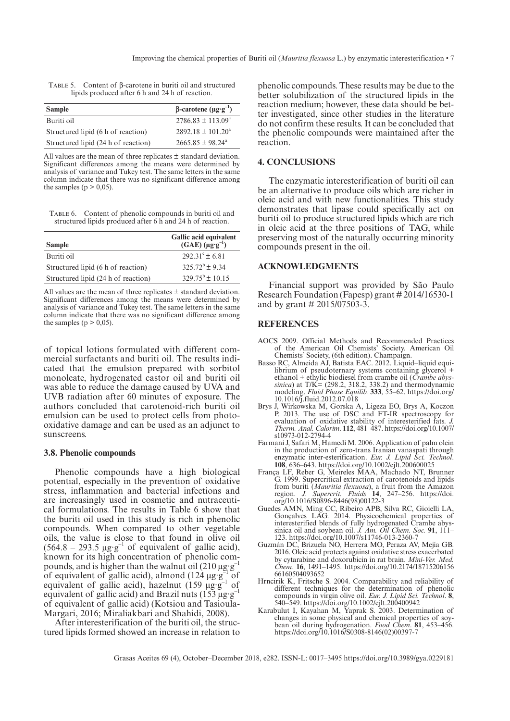|  | TABLE 5. Content of $\beta$ -carotene in buriti oil and structured |  |
|--|--------------------------------------------------------------------|--|
|  | lipids produced after 6 h and 24 h of reaction.                    |  |

| <b>Sample</b>                       | $\beta$ -carotene (µg·g <sup>-1</sup> ) |
|-------------------------------------|-----------------------------------------|
| Buriti oil                          | $2786.83 \pm 113.09^{\circ}$            |
| Structured lipid (6 h of reaction)  | $2892.18 \pm 101.20^a$                  |
| Structured lipid (24 h of reaction) | $2665.85 \pm 98.24^{\circ}$             |

All values are the mean of three replicates ± standard deviation. Significant differences among the means were determined by analysis of variance and Tukey test. The same letters in the same column indicate that there was no significant difference among the samples ( $p > 0,05$ ).

Table 6. Content of phenolic compounds in buriti oil and structured lipids produced after 6 h and 24 h of reaction.

| <b>Sample</b>                       | Gallic acid equivalent<br>(GAE) $(\mu g \cdot g^{-1})$ |
|-------------------------------------|--------------------------------------------------------|
| Buriti oil                          | $292.31^{\circ} \pm 6.81$                              |
| Structured lipid (6 h of reaction)  | $325.72^b \pm 9.34$                                    |
| Structured lipid (24 h of reaction) | $329.75^{\text{b}} + 10.15$                            |

All values are the mean of three replicates  $\pm$  standard deviation. Significant differences among the means were determined by analysis of variance and Tukey test. The same letters in the same column indicate that there was no significant difference among the samples ( $p > 0.05$ ).

of topical lotions formulated with different commercial surfactants and buriti oil. The results indicated that the emulsion prepared with sorbitol monoleate, hydrogenated castor oil and buriti oil was able to reduce the damage caused by UVA and UVB radiation after 60 minutes of exposure. The authors concluded that carotenoid-rich buriti oil emulsion can be used to protect cells from photooxidative damage and can be used as an adjunct to sunscreens.

## **3.8. Phenolic compounds**

Phenolic compounds have a high biological potential, especially in the prevention of oxidative stress, inflammation and bacterial infections and are increasingly used in cosmetic and nutraceutical formulations. The results in Table 6 show that the buriti oil used in this study is rich in phenolic compounds. When compared to other vegetable oils, the value is close to that found in olive oil (564.8 – 293.5  $\mu$ g·g<sup>-1</sup> of equivalent of gallic acid), known for its high concentration of phenolic compounds, and is higher than the walnut oil  $(210 \mu g·g^-)$ of equivalent of gallic acid), almond  $(124 \mu g \cdot g^{-1})$  of equivalent of gallic acid), hazelnut (159  $\mu$ g·g<sup>-1</sup> of equivalent of gallic acid) and Brazil nuts  $(153 \mu g·g)$ of equivalent of gallic acid) (Kotsiou and Tasioula-Margari, 2016; Miraliakbari and Shahidi, 2008).

After interesterification of the buriti oil, the structured lipids formed showed an increase in relation to

phenolic compounds. These results may be due to the better solubilization of the structured lipids in the reaction medium; however, these data should be better investigated, since other studies in the literature do not confirm these results. It can be concluded that the phenolic compounds were maintained after the reaction.

# **4. CONCLUSIONS**

The enzymatic interesterification of buriti oil can be an alternative to produce oils which are richer in oleic acid and with new functionalities. This study demonstrates that lipase could specifically act on buriti oil to produce structured lipids which are rich in oleic acid at the three positions of TAG, while preserving most of the naturally occurring minority compounds present in the oil.

## **ACKNOWLEDGMENTS**

Financial support was provided by São Paulo Research Foundation (Fapesp) grant # 2014/16530-1 and by grant # 2015/07503-3.

## **REFERENCES**

- AOCS 2009. Official Methods and Recommended Practices of the American Oil Chemists' Society. American Oil Chemists' Society, (6th edition). Champaign.
- Basso RC, Almeida AJ, Batista EAC. 2012. Liquid–liquid equilibrium of pseudoternary systems containing glycerol + ethanol + ethylic biodiesel from crambe oil (*Crambe abyssinica*) at T/K= (298.2, 318.2, 338.2) and thermodynamic modeling. *Fluid Phase Equilib.* **333**, 55–62. [https://doi.org/](https://doi.org/10.1016/j.fluid.2012.07.018) [10.1016/j.fluid.2012.07.018](https://doi.org/10.1016/j.fluid.2012.07.018)
- Brys J, Wirkowska M, Gorska A, Ligeza EO, Brys A, Koczon P. 2013. The use of DSC and FT-IR spectroscopy for evaluation of oxidative stability of interesterified fats. *J. Therm. Anal. Calorim*. **112**, 481–487. [https://doi.org/10.1007/](https://doi.org/10.1007/s10973-012-2794-4) [s10973-012-2794-4](https://doi.org/10.1007/s10973-012-2794-4)
- Farmani J, Safari M, Hamedi M. 2006. Application of palm olein in the production of zero-trans Iranian vanaspati through enzymatic inter-esterification. *Eur. J. Lipid Sci. Technol*. **108**, 636–643. <https://doi.org/10.1002/ejlt.200600025>
- França LF, Reber G, Meireles MAA, Machado NT, Brunner G. 1999. Supercritical extraction of carotenoids and lipids from buriti (*Mauritia flexuosa*), a fruit from the Amazon region. *J. Supercrit. Fluids* **14**, 247–256. [https://doi.](https://doi.org/10.1016/S0896-8446(98)00122-3) [org/10.1016/S0896-8446\(98\)00122-3](https://doi.org/10.1016/S0896-8446(98)00122-3)
- Guedes AMN, Ming CC, Ribeiro APB, Silva RC, Gioielli LA, Gonçalves LAG. 2014. Physicochemical properties of interesterified blends of fully hydrogenated Crambe abyssinica oil and soybean oil. *J. Am. Oil Chem. Soc.* **91**, 111– 123. <https://doi.org/10.1007/s11746-013-2360-7>
- Guzmán DC, Brizuela NO, Herrera MO, Peraza AV, Mejía GB. 2016. Oleic acid protects against oxidative stress exacerbated by cytarabine and doxorubicin in rat brain. *Mini-Ver. Med. Chem.* **16**, 1491–1495. [https://doi.org/10.2174/18715206156](https://doi.org/10.2174/1871520615666160504093652) [66160504093652](https://doi.org/10.2174/1871520615666160504093652)
- Hrncirik K, Fritsche S. 2004. Comparability and reliability of different techniques for the determination of phenolic compounds in virgin olive oil. *Eur. J. Lipid Sci. Technol*. **8**, 540–549. <https://doi.org/10.1002/ejlt.200400942>
- Karabulut I, Kayahan M, Yaprak S. 2003. Determination of changes in some physical and chemical properties of soybean oil during hydrogenation. *Food Chem*. **81**, 453–456. [https://doi.org/10.1016/S0308-8146\(02\)00397-7](https://doi.org/10.1016/S0308-8146(02)00397-7)

Grasas Aceites 69 (4), October–December 2018, e282. ISSN-L: 0017–3495<https://doi.org/10.3989/gya.0229181>